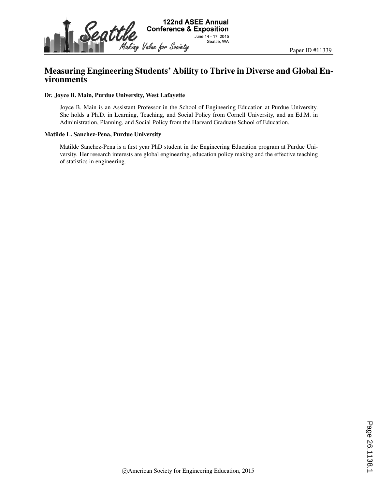

# Measuring Engineering Students' Ability to Thrive in Diverse and Global Environments

#### Dr. Joyce B. Main, Purdue University, West Lafayette

Joyce B. Main is an Assistant Professor in the School of Engineering Education at Purdue University. She holds a Ph.D. in Learning, Teaching, and Social Policy from Cornell University, and an Ed.M. in Administration, Planning, and Social Policy from the Harvard Graduate School of Education.

#### Matilde L. Sanchez-Pena, Purdue University

Matilde Sanchez-Pena is a first year PhD student in the Engineering Education program at Purdue University. Her research interests are global engineering, education policy making and the effective teaching of statistics in engineering.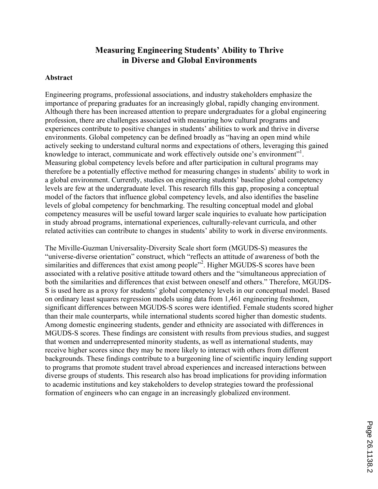# **Measuring Engineering Students' Ability to Thrive in Diverse and Global Environments**

#### **Abstract**

Engineering programs, professional associations, and industry stakeholders emphasize the importance of preparing graduates for an increasingly global, rapidly changing environment. Although there has been increased attention to prepare undergraduates for a global engineering profession, there are challenges associated with measuring how cultural programs and experiences contribute to positive changes in students' abilities to work and thrive in diverse environments. Global competency can be defined broadly as "having an open mind while actively seeking to understand cultural norms and expectations of others, leveraging this gained knowledge to interact, communicate and work effectively outside one's environment"<sup>1</sup>. Measuring global competency levels before and after participation in cultural programs may therefore be a potentially effective method for measuring changes in students' ability to work in a global environment. Currently, studies on engineering students' baseline global competency levels are few at the undergraduate level. This research fills this gap, proposing a conceptual model of the factors that influence global competency levels, and also identifies the baseline levels of global competency for benchmarking. The resulting conceptual model and global competency measures will be useful toward larger scale inquiries to evaluate how participation in study abroad programs, international experiences, culturally-relevant curricula, and other related activities can contribute to changes in students' ability to work in diverse environments.

The Miville-Guzman Universality-Diversity Scale short form (MGUDS-S) measures the "universe-diverse orientation" construct, which "reflects an attitude of awareness of both the similarities and differences that exist among people"<sup>2</sup>. Higher MGUDS-S scores have been associated with a relative positive attitude toward others and the "simultaneous appreciation of both the similarities and differences that exist between oneself and others." Therefore, MGUDS-S is used here as a proxy for students' global competency levels in our conceptual model. Based on ordinary least squares regression models using data from 1,461 engineering freshmen, significant differences between MGUDS-S scores were identified. Female students scored higher than their male counterparts, while international students scored higher than domestic students. Among domestic engineering students, gender and ethnicity are associated with differences in MGUDS-S scores. These findings are consistent with results from previous studies, and suggest that women and underrepresented minority students, as well as international students, may receive higher scores since they may be more likely to interact with others from different backgrounds. These findings contribute to a burgeoning line of scientific inquiry lending support to programs that promote student travel abroad experiences and increased interactions between diverse groups of students. This research also has broad implications for providing information to academic institutions and key stakeholders to develop strategies toward the professional formation of engineers who can engage in an increasingly globalized environment.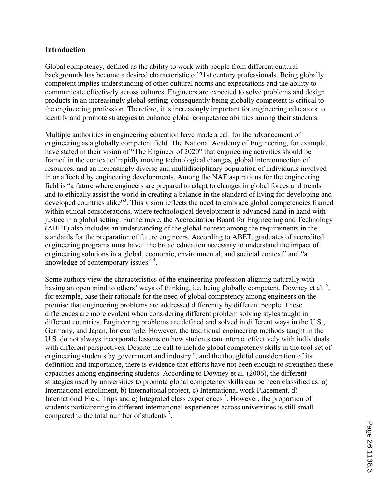#### **Introduction**

Global competency, defined as the ability to work with people from different cultural backgrounds has become a desired characteristic of 21st century professionals. Being globally competent implies understanding of other cultural norms and expectations and the ability to communicate effectively across cultures. Engineers are expected to solve problems and design products in an increasingly global setting; consequently being globally competent is critical to the engineering profession. Therefore, it is increasingly important for engineering educators to identify and promote strategies to enhance global competence abilities among their students.

Multiple authorities in engineering education have made a call for the advancement of engineering as a globally competent field. The National Academy of Engineering, for example, have stated in their vision of "The Engineer of 2020" that engineering activities should be framed in the context of rapidly moving technological changes, global interconnection of resources, and an increasingly diverse and multidisciplinary population of individuals involved in or affected by engineering developments. Among the NAE aspirations for the engineering field is "a future where engineers are prepared to adapt to changes in global forces and trends and to ethically assist the world in creating a balance in the standard of living for developing and developed countries alike"<sup>3</sup>. This vision reflects the need to embrace global competencies framed within ethical considerations, where technological development is advanced hand in hand with justice in a global setting. Furthermore, the Accreditation Board for Engineering and Technology (ABET) also includes an understanding of the global context among the requirements in the standards for the preparation of future engineers. According to ABET, graduates of accredited engineering programs must have "the broad education necessary to understand the impact of engineering solutions in a global, economic, environmental, and societal context" and "a knowledge of contemporary issues"<sup>4</sup>.

Some authors view the characteristics of the engineering profession aligning naturally with having an open mind to others' ways of thinking, i.e. being globally competent. Downey et al.<sup>5</sup>, for example, base their rationale for the need of global competency among engineers on the premise that engineering problems are addressed differently by different people. These differences are more evident when considering different problem solving styles taught in different countries. Engineering problems are defined and solved in different ways in the U.S., Germany, and Japan, for example. However, the traditional engineering methods taught in the U.S. do not always incorporate lessons on how students can interact effectively with individuals with different perspectives. Despite the call to include global competency skills in the tool-set of engineering students by government and industry<sup>6</sup>, and the thoughtful consideration of its definition and importance, there is evidence that efforts have not been enough to strengthen these capacities among engineering students. According to Downey et al. (2006), the different strategies used by universities to promote global competency skills can be been classified as: a) International enrollment, b) International project, c) International work Placement, d) International Field Trips and e) Integrated class experiences<sup>5</sup>. However, the proportion of students participating in different international experiences across universities is still small compared to the total number of students  $<sup>7</sup>$ .</sup>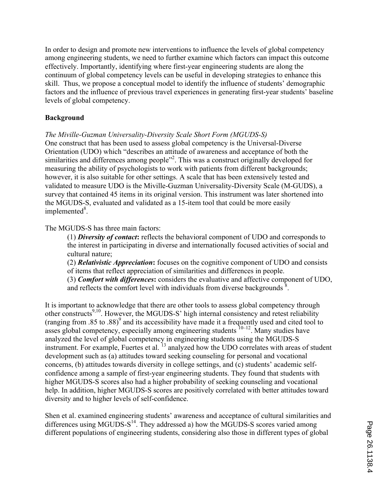In order to design and promote new interventions to influence the levels of global competency among engineering students, we need to further examine which factors can impact this outcome effectively. Importantly, identifying where first-year engineering students are along the continuum of global competency levels can be useful in developing strategies to enhance this skill. Thus, we propose a conceptual model to identify the influence of students' demographic factors and the influence of previous travel experiences in generating first-year students' baseline levels of global competency.

# **Background**

*The Miville-Guzman Universality-Diversity Scale Short Form (MGUDS-S)*

One construct that has been used to assess global competency is the Universal-Diverse Orientation (UDO) which "describes an attitude of awareness and acceptance of both the similarities and differences among people<sup>22</sup>. This was a construct originally developed for measuring the ability of psychologists to work with patients from different backgrounds; however, it is also suitable for other settings. A scale that has been extensively tested and validated to measure UDO is the Miville-Guzman Universality-Diversity Scale (M-GUDS), a survey that contained 45 items in its original version. This instrument was later shortened into the MGUDS-S, evaluated and validated as a 15-item tool that could be more easily implemented<sup>8</sup>.

# The MGUDS-S has three main factors:

(1) *Diversity of contact***:** reflects the behavioral component of UDO and corresponds to the interest in participating in diverse and internationally focused activities of social and cultural nature;

(2) *Relativistic Appreciation***:** focuses on the cognitive component of UDO and consists of items that reflect appreciation of similarities and differences in people.

(3) *Comfort with differences***:** considers the evaluative and affective component of UDO, and reflects the comfort level with individuals from diverse backgrounds  $\delta$ .

It is important to acknowledge that there are other tools to assess global competency through other constructs<sup>9,10</sup>. However, the MGUDS-S' high internal consistency and retest reliability (ranging from .85 to .88) <sup>9</sup> and its accessibility have made it a frequently used and cited tool to asses global competency, especially among engineering students <sup>10–12</sup>. Many studies have analyzed the level of global competency in engineering students using the MGUDS-S instrument. For example, Fuertes et al.<sup>13</sup> analyzed how the UDO correlates with areas of student development such as (a) attitudes toward seeking counseling for personal and vocational concerns, (b) attitudes towards diversity in college settings, and (c) students' academic selfconfidence among a sample of first-year engineering students. They found that students with higher MGUDS-S scores also had a higher probability of seeking counseling and vocational help. In addition, higher MGUDS-S scores are positively correlated with better attitudes toward diversity and to higher levels of self-confidence.

Shen et al. examined engineering students' awareness and acceptance of cultural similarities and differences using MGUDS- $S<sup>14</sup>$ . They addressed a) how the MGUDS-S scores varied among different populations of engineering students, considering also those in different types of global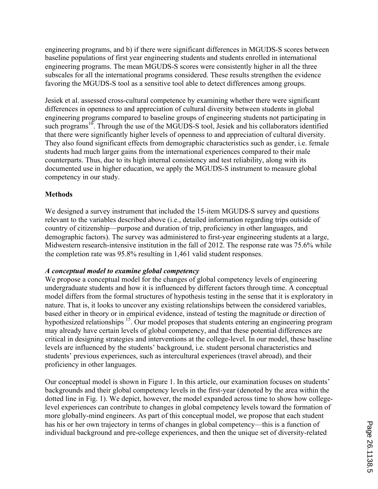engineering programs, and b) if there were significant differences in MGUDS-S scores between baseline populations of first year engineering students and students enrolled in international engineering programs. The mean MGUDS-S scores were consistently higher in all the three subscales for all the international programs considered. These results strengthen the evidence favoring the MGUDS-S tool as a sensitive tool able to detect differences among groups.

Jesiek et al. assessed cross-cultural competence by examining whether there were significant differences in openness to and appreciation of cultural diversity between students in global engineering programs compared to baseline groups of engineering students not participating in such programs<sup>10</sup>. Through the use of the MGUDS-S tool, Jesiek and his collaborators identified that there were significantly higher levels of openness to and appreciation of cultural diversity. They also found significant effects from demographic characteristics such as gender, i.e. female students had much larger gains from the international experiences compared to their male counterparts. Thus, due to its high internal consistency and test reliability, along with its documented use in higher education, we apply the MGUDS-S instrument to measure global competency in our study.

#### **Methods**

We designed a survey instrument that included the 15-item MGUDS-S survey and questions relevant to the variables described above (i.e., detailed information regarding trips outside of country of citizenship—purpose and duration of trip, proficiency in other languages, and demographic factors). The survey was administered to first-year engineering students at a large, Midwestern research-intensive institution in the fall of 2012. The response rate was 75.6% while the completion rate was 95.8% resulting in 1,461 valid student responses.

#### *A conceptual model to examine global competency*

We propose a conceptual model for the changes of global competency levels of engineering undergraduate students and how it is influenced by different factors through time. A conceptual model differs from the formal structures of hypothesis testing in the sense that it is exploratory in nature. That is, it looks to uncover any existing relationships between the considered variables, based either in theory or in empirical evidence, instead of testing the magnitude or direction of hypothesized relationships 15. Our model proposes that students entering an engineering program may already have certain levels of global competency, and that these potential differences are critical in designing strategies and interventions at the college-level. In our model, these baseline levels are influenced by the students' background, i.e. student personal characteristics and students' previous experiences, such as intercultural experiences (travel abroad), and their proficiency in other languages.

Our conceptual model is shown in Figure 1. In this article, our examination focuses on students' backgrounds and their global competency levels in the first-year (denoted by the area within the dotted line in Fig. 1). We depict, however, the model expanded across time to show how collegelevel experiences can contribute to changes in global competency levels toward the formation of more globally-mind engineers. As part of this conceptual model, we propose that each student has his or her own trajectory in terms of changes in global competency—this is a function of individual background and pre-college experiences, and then the unique set of diversity-related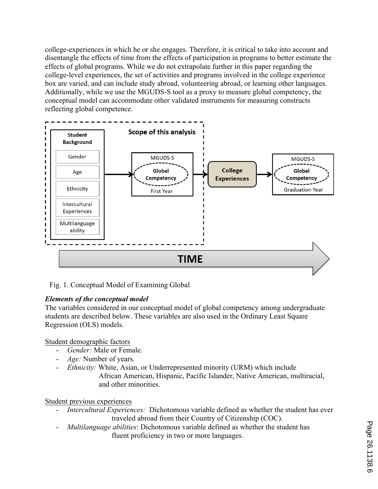college-experiences in which he or she engages. Therefore, it is critical to take into account and disentangle the effects of time from the effects of participation in programs to better estimate the effects of global programs. While we do not extrapolate further in this paper regarding the college-level experiences, the set of activities and programs involved in the college experience box are varied, and can include study abroad, volunteering abroad, or learning other languages. Additionally, while we use the MGUDS-S tool as a proxy to measure global competency, the conceptual model can accommodate other validated instruments for measuring constructs reflecting global competence.



#### Fig. 1. Conceptual Model of Examining Global

# **Elements of the conceptual model**

The variables considered in our conceptual model of global competency among undergraduate students are described below. These variables are also used in the Ordinary Least Square Regression (OLS) models.

Student demographic factors

- *Gender:* Male or Female.
- *Age:* Number of years.
- *Ethnicity:* White, Asian, or Underrepresented minority (URM) which include African American, Hispanic, Pacific Islander, Native American, multiracial, and other minorities.

#### Student previous experiences

- *Intercultural Experiences:* Dichotomous variable defined as whether the student has ever traveled abroad from their Country of Citizenship (COC).
- *Multilanguage abilities*: Dichotomous variable defined as whether the student has fluent proficiency in two or more languages.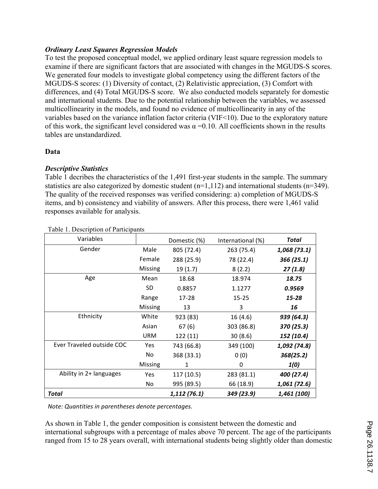### *Ordinary Least Squares Regression Models*

To test the proposed conceptual model, we applied ordinary least square regression models to examine if there are significant factors that are associated with changes in the MGUDS-S scores. We generated four models to investigate global competency using the different factors of the MGUDS-S scores: (1) Diversity of contact, (2) Relativistic appreciation, (3) Comfort with differences, and (4) Total MGUDS-S score. We also conducted models separately for domestic and international students. Due to the potential relationship between the variables, we assessed multicollinearity in the models, and found no evidence of multicollinearity in any of the variables based on the variance inflation factor criteria (VIF<10). Due to the exploratory nature of this work, the significant level considered was  $\alpha$  =0.10. All coefficients shown in the results tables are unstandardized.

#### **Data**

# *Descriptive Statistics*

Table 1 decribes the characteristics of the 1,491 first-year students in the sample. The summary statistics are also categorized by domestic student ( $n=1,112$ ) and international students ( $n=349$ ). The quality of the received responses was verified considering: a) completion of MGUDS-S items, and b) consistency and viability of answers. After this process, there were 1,461 valid responses available for analysis.

| Variables                 |                | Domestic (%) | International (%) | Total        |
|---------------------------|----------------|--------------|-------------------|--------------|
| Gender                    | Male           | 805 (72.4)   | 263 (75.4)        | 1,068 (73.1) |
|                           | Female         | 288 (25.9)   | 78 (22.4)         | 366 (25.1)   |
|                           | Missing        | 19(1.7)      | 8(2.2)            | 27(1.8)      |
| Age                       | Mean           | 18.68        | 18.974            | 18.75        |
|                           | <b>SD</b>      | 0.8857       | 1.1277            | 0.9569       |
|                           | Range          | $17 - 28$    | $15 - 25$         | 15-28        |
|                           | <b>Missing</b> | 13           | 3                 | 16           |
| Ethnicity                 | White          | 923 (83)     | 16(4.6)           | 939 (64.3)   |
|                           | Asian          | 67(6)        | 303 (86.8)        | 370 (25.3)   |
|                           | <b>URM</b>     | 122(11)      | 30(8.6)           | 152 (10.4)   |
| Ever Traveled outside COC | Yes            | 743 (66.8)   | 349 (100)         | 1,092 (74.8) |
|                           | No             | 368 (33.1)   | 0(0)              | 368(25.2)    |
|                           | <b>Missing</b> | 1            | 0                 | <b>1(0)</b>  |
| Ability in 2+ languages   | Yes            | 117 (10.5)   | 283 (81.1)        | 400 (27.4)   |
|                           | No             | 995 (89.5)   | 66 (18.9)         | 1,061 (72.6) |
| Total                     |                | 1,112 (76.1) | 349 (23.9)        | 1,461 (100)  |

Table 1. Description of Participants

*Note: Quantities in parentheses denote percentages.* 

As shown in Table 1, the gender composition is consistent between the domestic and international subgroups with a percentage of males above 70 percent. The age of the participants ranged from 15 to 28 years overall, with international students being slightly older than domestic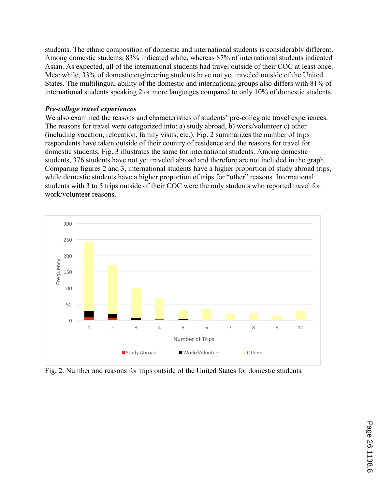students. The ethnic composition of domestic and international students is considerably different. Among domestic students, 83% indicated white, whereas 87% of international students indicated Asian. As expected, all of the international students had travel outside of their COC at least once. Meanwhile, 33% of domestic engineering students have not yet traveled outside of the United States. The multilingual ability of the domestic and international groups also differs with 81% of international students speaking 2 or more languages compared to only 10% of domestic students.

#### *Pre-college travel experiences*

We also examined the reasons and characteristics of students' pre-collegiate travel experiences. The reasons for travel were categorized into: a) study abroad, b) work/volunteer c) other (including vacation, relocation, family visits, etc.). Fig. 2 summarizes the number of trips respondents have taken outside of their country of residence and the reasons for travel for domestic students. Fig. 3 illustrates the same for international students. Among domestic students, 376 students have not yet traveled abroad and therefore are not included in the graph. Comparing figures 2 and 3, international students have a higher proportion of study abroad trips, while domestic students have a higher proportion of trips for "other" reasons. International students with 3 to 5 trips outside of their COC were the only students who reported travel for work/volunteer reasons.



Fig. 2. Number and reasons for trips outside of the United States for domestic students*.*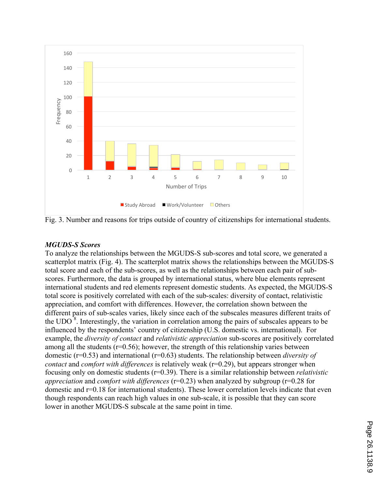

Fig. 3. Number and reasons for trips outside of country of citizenships for international students.

### *MGUDS-S Scores*

To analyze the relationships between the MGUDS-S sub-scores and total score, we generated a scatterplot matrix (Fig. 4). The scatterplot matrix shows the relationships between the MGUDS-S total score and each of the sub-scores, as well as the relationships between each pair of subscores. Furthermore, the data is grouped by international status, where blue elements represent international students and red elements represent domestic students. As expected, the MGUDS-S total score is positively correlated with each of the sub-scales: diversity of contact, relativistic appreciation, and comfort with differences. However, the correlation shown between the different pairs of sub-scales varies, likely since each of the subscales measures different traits of the UDO<sup>8</sup>. Interestingly, the variation in correlation among the pairs of subscales appears to be influenced by the respondents' country of citizenship (U.S. domestic vs. international). For example, the *diversity of contact* and *relativistic appreciation* sub-scores are positively correlated among all the students  $(r=0.56)$ ; however, the strength of this relationship varies between domestic (r=0.53) and international (r=0.63) students. The relationship between *diversity of contact* and *comfort with differences* is relatively weak (r=0.29), but appears stronger when focusing only on domestic students (r=0.39). There is a similar relationship between *relativistic appreciation* and *comfort with differences* (r=0.23) when analyzed by subgroup (r=0.28 for domestic and r=0.18 for international students). These lower correlation levels indicate that even though respondents can reach high values in one sub-scale, it is possible that they can score lower in another MGUDS-S subscale at the same point in time.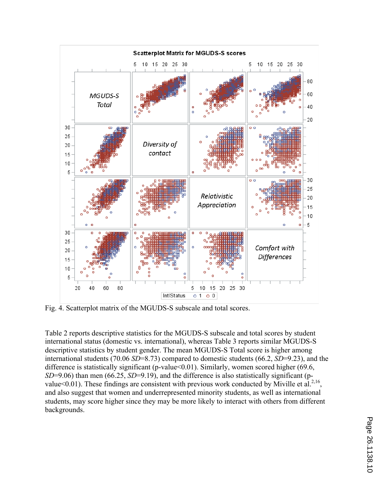

Fig. 4. Scatterplot matrix of the MGUDS-S subscale and total scores.

Table 2 reports descriptive statistics for the MGUDS-S subscale and total scores by student international status (domestic vs. international), whereas Table 3 reports similar MGUDS-S descriptive statistics by student gender. The mean MGUDS-S Total score is higher among international students (70.06 *SD*=8.73) compared to domestic students (66.2, *SD*=9.23), and the difference is statistically significant (p-value<0.01). Similarly, women scored higher (69.6, *SD*=9.06) than men (66.25, *SD*=9.19), and the difference is also statistically significant (pvalue<0.01). These findings are consistent with previous work conducted by Miville et al.<sup>2,16</sup>, and also suggest that women and underrepresented minority students, as well as international students, may score higher since they may be more likely to interact with others from different backgrounds.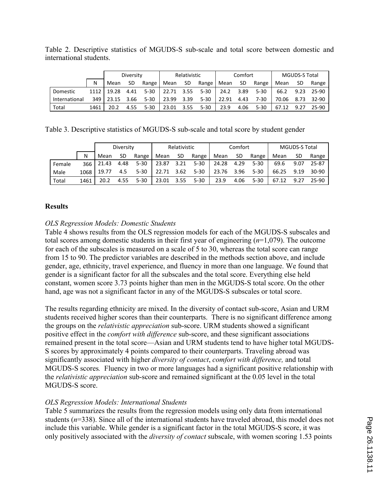|               | Diversity |       | Relativistic |          |       | Comfort |          |       | <b>MGUDS-S Total</b> |          |       |      |         |
|---------------|-----------|-------|--------------|----------|-------|---------|----------|-------|----------------------|----------|-------|------|---------|
|               | N         | Mean  | SD           | Range    | Mean  | SD      | Range    | Mean  | SD                   | Range    | Mean  | SD   | Range   |
| Domestic      | 1112      | 19.28 | 4.41         | $5 - 30$ | 22.71 | -3.55   | $5 - 30$ | 24.2  | 3.89                 | $5 - 30$ | 66.2  | 9.23 | $25-90$ |
| International | 349       |       | 3.66         | $5 - 30$ | 23.99 | 3.39    | $5 - 30$ | 22.91 | 4.43                 | 7-30     | 70.06 |      | $32-90$ |
| Total         | 1461      | 20.1  | 4.55         | $5 - 30$ | 23.01 | 3.55    | $5 - 30$ | 23.9  | 4.06                 | $5 - 30$ | 67.12 |      | 25-90   |

Table 2. Descriptive statistics of MGUDS-S sub-scale and total score between domestic and international students.

Table 3. Descriptive statistics of MGUDS-S sub-scale and total score by student gender

|        |                  | <b>Diversity</b> |      | Relativistic |       |           | Comfort  |       |      | <b>MGUDS-S Total</b> |       |      |       |
|--------|------------------|------------------|------|--------------|-------|-----------|----------|-------|------|----------------------|-------|------|-------|
|        | N                | Mean             | SD   | Range        | Mean  | <b>SD</b> | Range    | Mean  | SD   | Range                | Mean  | SD   | Range |
| Female | 366 <sub>1</sub> | 21.43            | 4.48 | $5 - 30$     | 23.87 | 3.21      | $5-30$   | 24.28 | 4.29 | $5 - 30$             | 69.6  | 9.07 | 25-87 |
| Male   | 1068             | 19.77            | 4.5  | $5 - 30$     | 22.71 | 3.62      | 5-30     | 23.76 | 3.96 | $5 - 30$             | 66.25 | 9.19 | 30-90 |
| Total  | 1461             | 20.2             | 4.55 | $5 - 30$     | 23.01 | 3.55      | $5 - 30$ | 23.9  | 4.06 | $5 - 30$             | 67.12 | 9.27 | 25-90 |

#### **Results**

#### *OLS Regression Models: Domestic Students*

Table 4 shows results from the OLS regression models for each of the MGUDS-S subscales and total scores among domestic students in their first year of engineering (*n*=1,079). The outcome for each of the subscales is measured on a scale of 5 to 30, whereas the total score can range from 15 to 90. The predictor variables are described in the methods section above, and include gender, age, ethnicity, travel experience, and fluency in more than one language. We found that gender is a significant factor for all the subscales and the total score. Everything else held constant, women score 3.73 points higher than men in the MGUDS-S total score. On the other hand, age was not a significant factor in any of the MGUDS-S subscales or total score.

The results regarding ethnicity are mixed. In the diversity of contact sub-score, Asian and URM students received higher scores than their counterparts. There is no significant difference among the groups on the *relativistic appreciation* sub-score. URM students showed a significant positive effect in the *comfort with difference* sub-score, and these significant associations remained present in the total score—Asian and URM students tend to have higher total MGUDS-S scores by approximately 4 points compared to their counterparts. Traveling abroad was significantly associated with higher *diversity of contact*, *comfort with difference,* and total MGUDS-S scores*.* Fluency in two or more languages had a significant positive relationship with the *relativistic appreciation* sub-score and remained significant at the 0.05 level in the total MGUDS-S score.

#### *OLS Regression Models: International Students*

Table 5 summarizes the results from the regression models using only data from international students ( $n=338$ ). Since all of the international students have traveled abroad, this model does not include this variable. While gender is a significant factor in the total MGUDS-S score, it was only positively associated with the *diversity of contact* subscale, with women scoring 1.53 points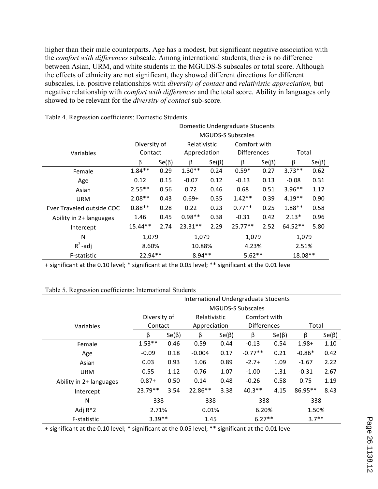higher than their male counterparts. Age has a modest, but significant negative association with the *comfort with differences* subscale. Among international students, there is no difference between Asian, URM, and white students in the MGUDS-S subscales or total score. Although the effects of ethnicity are not significant, they showed different directions for different subscales, i.e. positive relationships with *diversity of contact* and *relativistic appreciation,* but negative relationship with *comfort with differences* and the total score. Ability in languages only showed to be relevant for the *diversity of contact* sub-score.

|                           | Domestic Undergraduate Students |             |              |             |                    |             |           |             |  |
|---------------------------|---------------------------------|-------------|--------------|-------------|--------------------|-------------|-----------|-------------|--|
|                           | <b>MGUDS-S Subscales</b>        |             |              |             |                    |             |           |             |  |
|                           | Diversity of                    |             | Relativistic |             | Comfort with       |             |           |             |  |
| Variables                 | Contact                         |             | Appreciation |             | <b>Differences</b> |             | Total     |             |  |
|                           | β                               | $Se(\beta)$ | β            | $Se(\beta)$ | β                  | $Se(\beta)$ | β         | $Se(\beta)$ |  |
| Female                    | $1.84***$                       | 0.29        | $1.30**$     | 0.24        | $0.59*$            | 0.27        | $3.73**$  | 0.62        |  |
| Age                       | 0.12                            | 0.15        | $-0.07$      | 0.12        | $-0.13$            | 0.13        | $-0.08$   | 0.31        |  |
| Asian                     | $2.55***$                       | 0.56        | 0.72         | 0.46        | 0.68               | 0.51        | $3.96**$  | 1.17        |  |
| URM                       | $2.08**$<br>0.43                |             | $0.69+$      | 0.35        | $1.42**$           | 0.39        | $4.19**$  | 0.90        |  |
| Ever Traveled outside COC | $0.88**$                        | 0.28        | 0.22         | 0.23        | $0.77**$           | 0.25        | $1.88**$  | 0.58        |  |
| Ability in 2+ languages   | 1.46                            | 0.45        | $0.98**$     | 0.38        | $-0.31$            | 0.42        | $2.13*$   | 0.96        |  |
| Intercept                 | $15.44**$                       | 2.74        | 23.31**      | 2.29        | $25.77**$          | 2.52        | $64.52**$ | 5.80        |  |
| N                         | 1,079                           |             | 1,079        |             | 1,079              |             | 1,079     |             |  |
| $R^2$ -adj                | 8.60%                           |             | 10.88%       |             | 4.23%              |             | 2.51%     |             |  |
| F-statistic               | 22.94**                         |             | $8.94**$     |             | $5.62**$           |             | 18.08**   |             |  |

Table 4. Regression coefficients: Domestic Students

+ significant at the 0.10 level; \* significant at the 0.05 level; \*\* significant at the 0.01 level

|                         | International Undergraduate Students |             |              |             |                    |             |          |             |  |  |
|-------------------------|--------------------------------------|-------------|--------------|-------------|--------------------|-------------|----------|-------------|--|--|
|                         | <b>MGUDS-S Subscales</b>             |             |              |             |                    |             |          |             |  |  |
|                         | Diversity of                         |             | Relativistic |             | Comfort with       |             |          |             |  |  |
| Variables               | Contact                              |             | Appreciation |             | <b>Differences</b> |             | Total    |             |  |  |
|                         | β                                    | $Se(\beta)$ | β            | $Se(\beta)$ | β                  | $Se(\beta)$ | β        | $Se(\beta)$ |  |  |
| Female                  | $1.53***$                            | 0.46        | 0.59         | 0.44        | $-0.13$            | 0.54        | $1.98+$  | 1.10        |  |  |
| Age                     | $-0.09$                              | 0.18        | $-0.004$     | 0.17        | $-0.77**$          | 0.21        | $-0.86*$ | 0.42        |  |  |
| Asian                   | 0.03                                 | 0.93        | 1.06         | 0.89        | $-2.7+$            | 1.09        | $-1.67$  | 2.22        |  |  |
| <b>URM</b>              | 0.55<br>1.12                         |             | 0.76         | 1.07        | $-1.00$            | 1.31        | $-0.31$  | 2.67        |  |  |
| Ability in 2+ languages | $0.87+$                              | 0.50        | 0.14         | 0.48        | $-0.26$            | 0.58        | 0.75     | 1.19        |  |  |
| Intercept               | 23.79**                              | 3.54        | 22.86**      | 3.38        | $40.3**$           | 4.15        | 86.95**  | 8.43        |  |  |
| N                       | 338                                  |             | 338          |             | 338                |             | 338      |             |  |  |
| Adj R <sup>^2</sup>     | 2.71%                                |             | 0.01%        |             | 6.20%              |             | 1.50%    |             |  |  |
| F-statistic             | $3.39**$                             |             | 1.45         |             | $6.27**$           |             | $3.7**$  |             |  |  |

Table 5. Regression coefficients: International Students

+ significant at the 0.10 level; \* significant at the 0.05 level; \*\* significant at the 0.01 level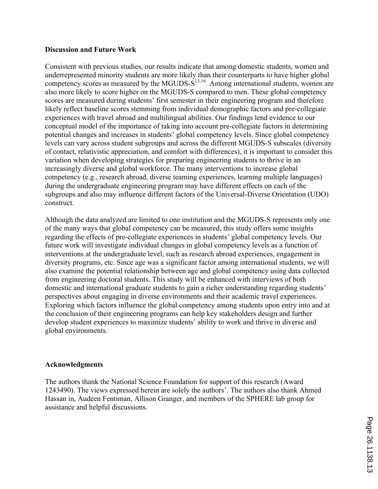#### **Discussion and Future Work**

Consistent with previous studies, our results indicate that among domestic students, women and underrepresented minority students are more likely than their counterparts to have higher global competency scores as measured by the MGUDS- $S<sup>13,16</sup>$ . Among international students, women are also more likely to score higher on the MGUDS-S compared to men. These global competency scores are measured during students' first semester in their engineering program and therefore likely reflect baseline scores stemming from individual demographic factors and pre-collegiate experiences with travel abroad and multilingual abilities. Our findings lend evidence to our conceptual model of the importance of taking into account pre-collegiate factors in determining potential changes and increases in students' global competency levels. Since global competency levels can vary across student subgroups and across the different MGUDS-S subscales (diversity of contact, relativistic appreciation, and comfort with differences), it is important to consider this variation when developing strategies for preparing engineering students to thrive in an increasingly diverse and global workforce. The many interventions to increase global competency (e.g., research abroad, diverse teaming experiences, learning multiple languages) during the undergraduate engineering program may have different effects on each of the subgroups and also may influence different factors of the Universal-Diverse Orientation (UDO) construct.

Although the data analyzed are limited to one institution and the MGUDS-S represents only one of the many ways that global competency can be measured, this study offers some insights regarding the effects of pre-collegiate experiences in students' global competency levels. Our future work will investigate individual changes in global competency levels as a function of interventions at the undergraduate level, such as research abroad experiences, engagement in diversity programs, etc. Since age was a significant factor among international students, we will also examine the potential relationship between age and global competency using data collected from engineering doctoral students. This study will be enhanced with interviews of both domestic and international graduate students to gain a richer understanding regarding students' perspectives about engaging in diverse environments and their academic travel experiences. Exploring which factors influence the global competency among students upon entry into and at the conclusion of their engineering programs can help key stakeholders design and further develop student experiences to maximize students' ability to work and thrive in diverse and global environments.

#### **Acknowledgments**

The authors thank the National Science Foundation for support of this research (Award 1243490). The views expressed herein are solely the authors'. The authors also thank Ahmed Hassan in, Audeen Fentiman, Allison Granger, and members of the SPHERE lab group for assistance and helpful discussions.